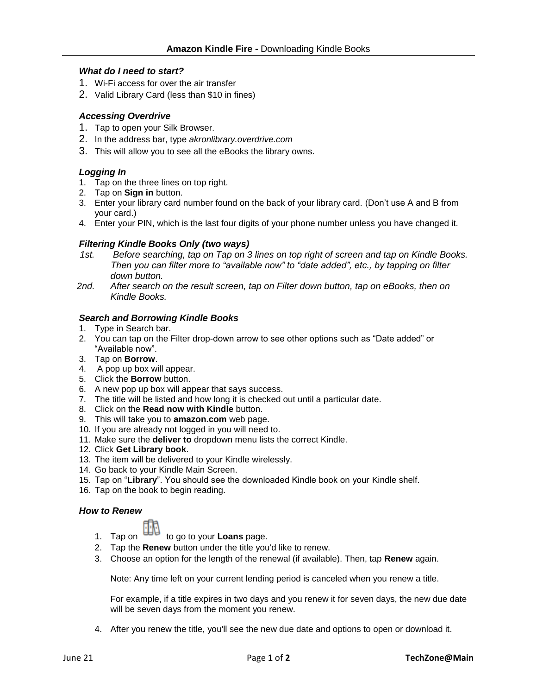### *What do I need to start?*

- 1. Wi-Fi access for over the air transfer
- 2. Valid Library Card (less than \$10 in fines)

## *Accessing Overdrive*

- 1. Tap to open your Silk Browser.
- 2. In the address bar, type *akronlibrary.overdrive.com*
- 3. This will allow you to see all the eBooks the library owns.

## *Logging In*

- 1. Tap on the three lines on top right.
- 2. Tap on **Sign in** button.
- 3. Enter your library card number found on the back of your library card. (Don't use A and B from your card.)
- 4. Enter your PIN, which is the last four digits of your phone number unless you have changed it.

## *Filtering Kindle Books Only (two ways)*

- *1st. Before searching, tap on Tap on 3 lines on top right of screen and tap on Kindle Books. Then you can filter more to "available now" to "date added", etc., by tapping on filter down button.*
- *2nd. After search on the result screen, tap on Filter down button, tap on eBooks, then on Kindle Books.*

#### *Search and Borrowing Kindle Books*

- 1. Type in Search bar.
- 2. You can tap on the Filter drop-down arrow to see other options such as "Date added" or "Available now".
- 3. Tap on **Borrow**.
- 4. A pop up box will appear.
- 5. Click the **Borrow** button.
- 6. A new pop up box will appear that says success.
- 7. The title will be listed and how long it is checked out until a particular date.
- 8. Click on the **Read now with Kindle** button.
- 9. This will take you to **amazon.com** web page.
- 10. If you are already not logged in you will need to.
- 11. Make sure the **deliver to** dropdown menu lists the correct Kindle.
- 12. Click **Get Library book**.
- 13. The item will be delivered to your Kindle wirelessly.
- 14. Go back to your Kindle Main Screen.
- 15. Tap on "**Library**". You should see the downloaded Kindle book on your Kindle shelf.
- 16. Tap on the book to begin reading.

#### *How to Renew*

- 1. Tap on to go to your **Loans** page.
- 2. Tap the **Renew** button under the title you'd like to renew.
- 3. Choose an option for the length of the renewal (if available). Then, tap **Renew** again.

Note: Any time left on your current lending period is canceled when you renew a title.

For example, if a title expires in two days and you renew it for seven days, the new due date will be seven days from the moment you renew.

4. After you renew the title, you'll see the new due date and options to open or download it.